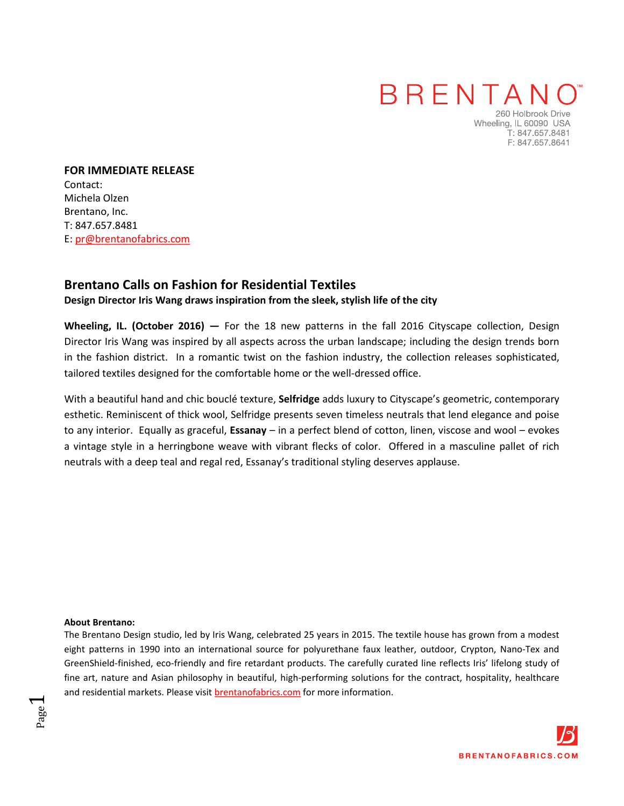## BRENTANO

260 Holbrook Drive Wheeling, IL 60090 USA T: 847.657.8481 F: 847.657.8641

**FOR IMMEDIATE RELEASE**  Contact: Michela Olzen Brentano, Inc. T: 847.657.8481 E: pr@brentanofabrics.com

### **[Brentano](http://www.brentanofabrics.com/default.aspx) Calls on Fashion for Residential Textiles**

#### **[Design Director Iris Wang d](http://www.brentanofabrics.com/about/designer.aspx)raws inspiration from the sleek, stylish life of the city**

**Wheeling, IL. (October 2016) —** For the 18 new patterns in the [fall 2016 Cityscape collection,](http://www.brentanofabrics.com/fabrics/) Design Director Iris Wang was inspired by all aspects across the urban landscape; including the design trends born in the fashion district. In a romantic twist on the fashion industry, the collection releases sophisticated, tailored textiles designed for the comfortable home or the well-dressed office.

With a beautiful hand and chic bouclé texture, **[Selfridge](http://www.brentanofabrics.com/fabrics/details.aspx?fabID=8940-06)** adds luxury to [Cityscape's](http://www.brentanofabrics.com/fabrics/) geometric, contemporary esthetic. Reminiscent of thick wool, [Selfridge](http://www.brentanofabrics.com/fabrics/details.aspx?fabID=8940-06) presents seven timeless neutrals that lend elegance and poise to any interior. Equally as graceful, **[Essanay](http://www.brentanofabrics.com/fabrics/details.aspx?fabID=8220-02)** – in a perfect blend of cotton, linen, viscose and wool – evokes a vintage style in a herringbone weave with vibrant flecks of color. Offered in a masculine pallet of rich neutrals with a deep teal and regal red[, Essanay's](http://www.brentanofabrics.com/fabrics/details.aspx?fabID=8220-02) traditional styling deserves applause.

#### **[About Brentano:](http://www.brentanofabrics.com/about/)**

Page  $\overline{\phantom{0}}$ 

The Brentano Design studio, led b[y Iris Wang,](http://www.brentanofabrics.com/about/designer.aspx) celebrated 25 years in 2015. The textile house has grown from a modest eight patterns in 1990 into an international source for [polyurethane faux leather,](http://www.brentanofabrics.com/fauxleather/default.aspx) [outdoor,](http://www.brentanofabrics.com/outdoor/default.aspx) [Crypton,](http://www.brentanofabrics.com/crypton/default.aspx?type=Crypton) [Nano-Tex](http://www.brentanofabrics.com/crypton/default.aspx?type=Crypton) and [GreenShield-finished,](http://www.brentanofabrics.com/crypton/default.aspx?type=GreenShield) [eco-friendly](http://www.brentanofabrics.com/green/default.aspx) and [fire retardant products.](http://www.brentanofabrics.com/fireresistant/default.aspx) The carefully curated line reflects Iris' lifelong study of fine art, nature and Asian philosophy in beautiful, high-performing solutions for the contract, hospitality, healthcare and residential markets. Please visit [brentanofabrics.com](http://www.brentanofabrics.com/default.aspx) for more information.